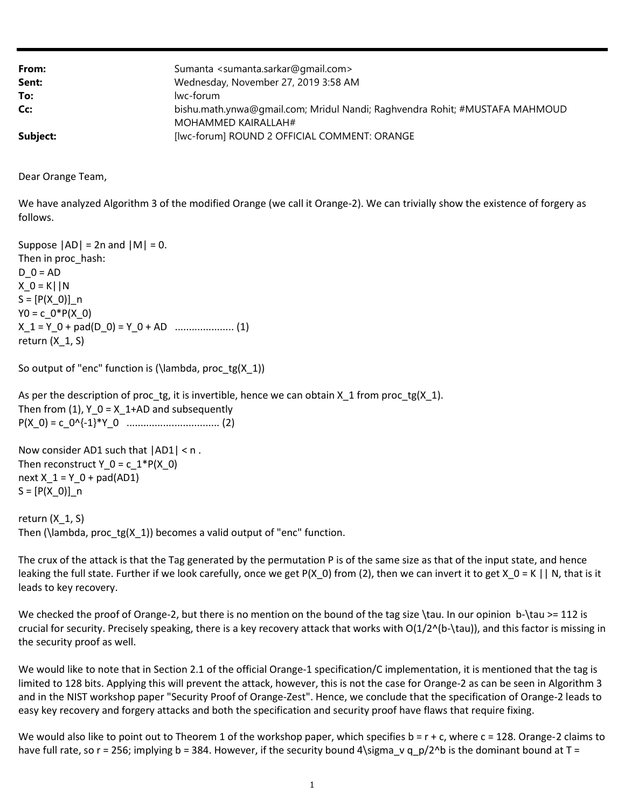| From:    | Sumanta <sumanta.sarkar@gmail.com></sumanta.sarkar@gmail.com>               |
|----------|-----------------------------------------------------------------------------|
| Sent:    | Wednesday, November 27, 2019 3:58 AM                                        |
| To:      | lwc-forum                                                                   |
| Cc:      | bishu.math.ynwa@gmail.com; Mridul Nandi; Raghvendra Rohit; #MUSTAFA MAHMOUD |
|          | MOHAMMED KAIRALLAH#                                                         |
| Subject: | [lwc-forum] ROUND 2 OFFICIAL COMMENT: ORANGE                                |

Dear Orange Team,

 We have analyzed Algorithm 3 of the modified Orange (we call it Orange-2). We can trivially show the existence of forgery as follows.

Suppose  $|AD| = 2n$  and  $|M| = 0$ . Then in proc\_hash:  $D_0 = AD$  X\_0 = K||N S = [P(X\_0)]\_n  $Y0 = c_0 * P(X_0)$  X\_1 = Y\_0 + pad(D\_0) = Y\_0 + AD ..................... (1) return (X\_1, S)

So output of "enc" function is (\lambda, proc\_tg(X\_1))

As per the description of proc\_tg, it is invertible, hence we can obtain  $X_1$  from proc\_tg( $X_1$ ). Then from  $(1)$ ,  $Y_0 = X_1+AD$  and subsequently P(X\_0) = c\_0^{-1}\*Y\_0 ................................. (2)

```
 
Now consider AD1 such that |AD1| < n .
Then reconstruct Y_0 = c_1 * P(X_0)next X_1 = Y_0 + pad(AD1) 
S = [P(X_0)]_n
```
 return (X\_1, S) Then (\lambda, proc\_tg(X\_1)) becomes a valid output of "enc" function.

 The crux of the attack is that the Tag generated by the permutation P is of the same size as that of the input state, and hence leaking the full state. Further if we look carefully, once we get P(X\_0) from (2), then we can invert it to get X\_0 = K || N, that is it leads to key recovery.

 We checked the proof of Orange-2, but there is no mention on the bound of the tag size \tau. In our opinion b-\tau >= 112 is crucial for security. Precisely speaking, there is a key recovery attack that works with O(1/2^(b-\tau)), and this factor is missing in the security proof as well.

 We would like to note that in Section 2.1 of the official Orange-1 specification/C implementation, it is mentioned that the tag is limited to 128 bits. Applying this will prevent the attack, however, this is not the case for Orange-2 as can be seen in Algorithm 3 and in the NIST workshop paper "Security Proof of Orange-Zest". Hence, we conclude that the specification of Orange-2 leads to easy key recovery and forgery attacks and both the specification and security proof have flaws that require fixing.

We would also like to point out to Theorem 1 of the workshop paper, which specifies b = r + c, where c = 128. Orange-2 claims to have full rate, so r = 256; implying b = 384. However, if the security bound 4\sigma\_v q\_p/2^b is the dominant bound at T =